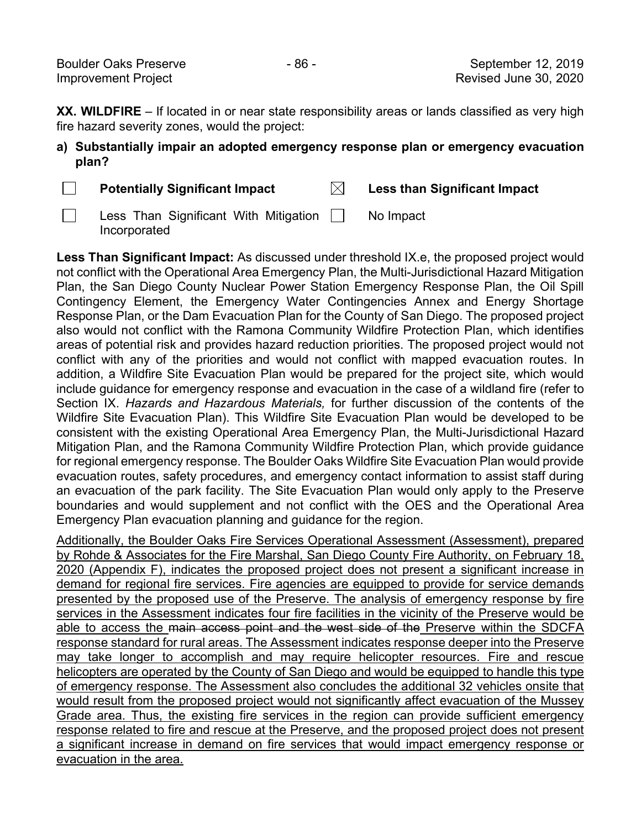**XX. WILDFIRE** – If located in or near state responsibility areas or lands classified as very high fire hazard severity zones, would the project:

## **a) Substantially impair an adopted emergency response plan or emergency evacuation plan?**

□

**Potentially Significant Impact Less than Significant Impact**

 $\boxtimes$ 

□

Less Than Significant With Mitigation [\_]<br>Incernerated Incorporated No Impact

**Less Than Significant Impact:** As discussed under threshold IX.e, the proposed project would not conflict with the Operational Area Emergency Plan, the Multi-Jurisdictional Hazard Mitigation Plan, the San Diego County Nuclear Power Station Emergency Response Plan, the Oil Spill Contingency Element, the Emergency Water Contingencies Annex and Energy Shortage Response Plan, or the Dam Evacuation Plan for the County of San Diego. The proposed project also would not conflict with the Ramona Community Wildfire Protection Plan, which identifies areas of potential risk and provides hazard reduction priorities. The proposed project would not conflict with any of the priorities and would not conflict with mapped evacuation routes. In addition, a Wildfire Site Evacuation Plan would be prepared for the project site, which would include guidance for emergency response and evacuation in the case of a wildland fire (refer to Section IX. *Hazards and Hazardous Materials,* for further discussion of the contents of the Wildfire Site Evacuation Plan). This Wildfire Site Evacuation Plan would be developed to be consistent with the existing Operational Area Emergency Plan, the Multi-Jurisdictional Hazard Mitigation Plan, and the Ramona Community Wildfire Protection Plan, which provide guidance for regional emergency response. The Boulder Oaks Wildfire Site Evacuation Plan would provide evacuation routes, safety procedures, and emergency contact information to assist staff during an evacuation of the park facility. The Site Evacuation Plan would only apply to the Preserve boundaries and would supplement and not conflict with the OES and the Operational Area Emergency Plan evacuation planning and guidance for the region.

Additionally, the Boulder Oaks Fire Services Operational Assessment (Assessment), prepared by Rohde & Associates for the Fire Marshal, San Diego County Fire Authority, on February 18, 2020 (Appendix F), indicates the proposed project does not present a significant increase in demand for regional fire services. Fire agencies are equipped to provide for service demands presented by the proposed use of the Preserve. The analysis of emergency response by fire services in the Assessment indicates four fire facilities in the vicinity of the Preserve would be able to access the main access point and the west side of the Preserve within the SDCFA response standard for rural areas. The Assessment indicates response deeper into the Preserve may take longer to accomplish and may require helicopter resources. Fire and rescue helicopters are operated by the County of San Diego and would be equipped to handle this type of emergency response. The Assessment also concludes the additional 32 vehicles onsite that would result from the proposed project would not significantly affect evacuation of the Mussey Grade area. Thus, the existing fire services in the region can provide sufficient emergency response related to fire and rescue at the Preserve, and the proposed project does not present a significant increase in demand on fire services that would impact emergency response or evacuation in the area.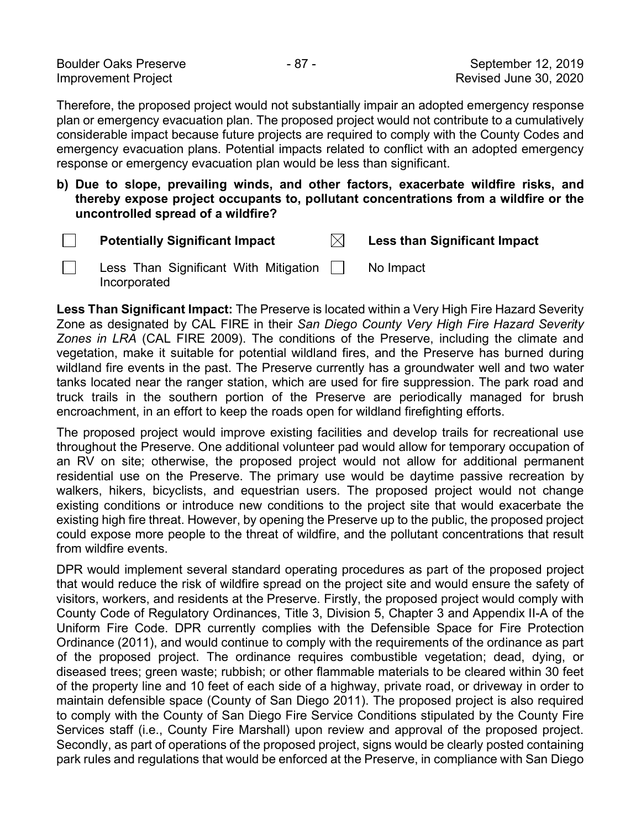| <b>Boulder Oaks Preserve</b> | - 87 - | September 12, 2019    |
|------------------------------|--------|-----------------------|
| <b>Improvement Project</b>   |        | Revised June 30, 2020 |

Therefore, the proposed project would not substantially impair an adopted emergency response plan or emergency evacuation plan. The proposed project would not contribute to a cumulatively considerable impact because future projects are required to comply with the County Codes and emergency evacuation plans. Potential impacts related to conflict with an adopted emergency response or emergency evacuation plan would be less than significant.

**b) Due to slope, prevailing winds, and other factors, exacerbate wildfire risks, and thereby expose project occupants to, pollutant concentrations from a wildfire or the uncontrolled spread of a wildfire?**

□

□

**Potentially Significant Impact Less than Significant Impact**

Less Than Significant With Mitigation Incorporated No Impact

**Less Than Significant Impact:** The Preserve is located within a Very High Fire Hazard Severity Zone as designated by CAL FIRE in their *San Diego County Very High Fire Hazard Severity Zones in LRA* (CAL FIRE 2009). The conditions of the Preserve, including the climate and vegetation, make it suitable for potential wildland fires, and the Preserve has burned during wildland fire events in the past. The Preserve currently has a groundwater well and two water tanks located near the ranger station, which are used for fire suppression. The park road and truck trails in the southern portion of the Preserve are periodically managed for brush encroachment, in an effort to keep the roads open for wildland firefighting efforts.

The proposed project would improve existing facilities and develop trails for recreational use throughout the Preserve. One additional volunteer pad would allow for temporary occupation of an RV on site; otherwise, the proposed project would not allow for additional permanent residential use on the Preserve. The primary use would be daytime passive recreation by walkers, hikers, bicyclists, and equestrian users. The proposed project would not change existing conditions or introduce new conditions to the project site that would exacerbate the existing high fire threat. However, by opening the Preserve up to the public, the proposed project could expose more people to the threat of wildfire, and the pollutant concentrations that result from wildfire events.

DPR would implement several standard operating procedures as part of the proposed project that would reduce the risk of wildfire spread on the project site and would ensure the safety of visitors, workers, and residents at the Preserve. Firstly, the proposed project would comply with County Code of Regulatory Ordinances, Title 3, Division 5, Chapter 3 and Appendix II-A of the Uniform Fire Code. DPR currently complies with the Defensible Space for Fire Protection Ordinance (2011), and would continue to comply with the requirements of the ordinance as part of the proposed project. The ordinance requires combustible vegetation; dead, dying, or diseased trees; green waste; rubbish; or other flammable materials to be cleared within 30 feet of the property line and 10 feet of each side of a highway, private road, or driveway in order to maintain defensible space (County of San Diego 2011). The proposed project is also required to comply with the County of San Diego Fire Service Conditions stipulated by the County Fire Services staff (i.e., County Fire Marshall) upon review and approval of the proposed project. Secondly, as part of operations of the proposed project, signs would be clearly posted containing park rules and regulations that would be enforced at the Preserve, in compliance with San Diego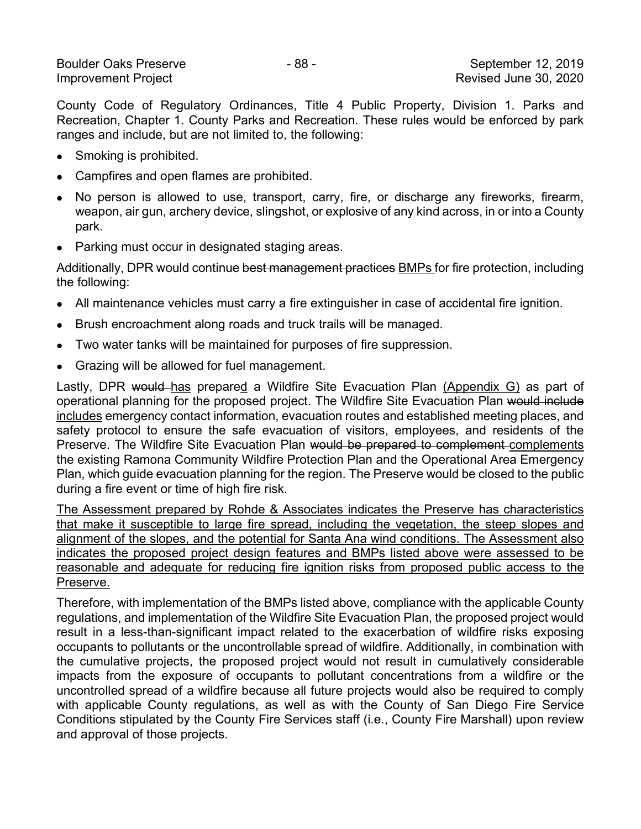County Code of Regulatory Ordinances, Title 4 Public Property, Division 1. Parks and Recreation, Chapter 1. County Parks and Recreation. These rules would be enforced by park ranges and include, but are not limited to, the following:

- Smoking is prohibited.
- Campfires and open flames are prohibited.
- No person is allowed to use, transport, carry, fire, or discharge any fireworks, firearm, weapon, air gun, archery device, slingshot, or explosive of any kind across, in or into a County park.
- Parking must occur in designated staging areas.

Additionally, DPR would continue best management practices BMPs for fire protection, including the following:

- All maintenance vehicles must carry a fire extinguisher in case of accidental fire ignition.
- Brush encroachment along roads and truck trails will be managed.
- Two water tanks will be maintained for purposes of fire suppression.
- Grazing will be allowed for fuel management.

Lastly, DPR would has prepared a Wildfire Site Evacuation Plan (Appendix G) as part of operational planning for the proposed project. The Wildfire Site Evacuation Plan would include includes emergency contact information, evacuation routes and established meeting places, and safety protocol to ensure the safe evacuation of visitors, employees, and residents of the Preserve. The Wildfire Site Evacuation Plan would be prepared to complement complements the existing Ramona Community Wildfire Protection Plan and the Operational Area Emergency Plan, which guide evacuation planning for the region. The Preserve would be closed to the public during a fire event or time of high fire risk.

The Assessment prepared by Rohde & Associates indicates the Preserve has characteristics that make it susceptible to large fire spread, including the vegetation, the steep slopes and alignment of the slopes, and the potential for Santa Ana wind conditions. The Assessment also indicates the proposed project design features and BMPs listed above were assessed to be reasonable and adequate for reducing fire ignition risks from proposed public access to the Preserve.

Therefore, with implementation of the BMPs listed above, compliance with the applicable County regulations, and implementation of the Wildfire Site Evacuation Plan, the proposed project would result in a less-than-significant impact related to the exacerbation of wildfire risks exposing occupants to pollutants or the uncontrollable spread of wildfire. Additionally, in combination with the cumulative projects, the proposed project would not result in cumulatively considerable impacts from the exposure of occupants to pollutant concentrations from a wildfire or the uncontrolled spread of a wildfire because all future projects would also be required to comply with applicable County regulations, as well as with the County of San Diego Fire Service Conditions stipulated by the County Fire Services staff (i.e., County Fire Marshall) upon review and approval of those projects.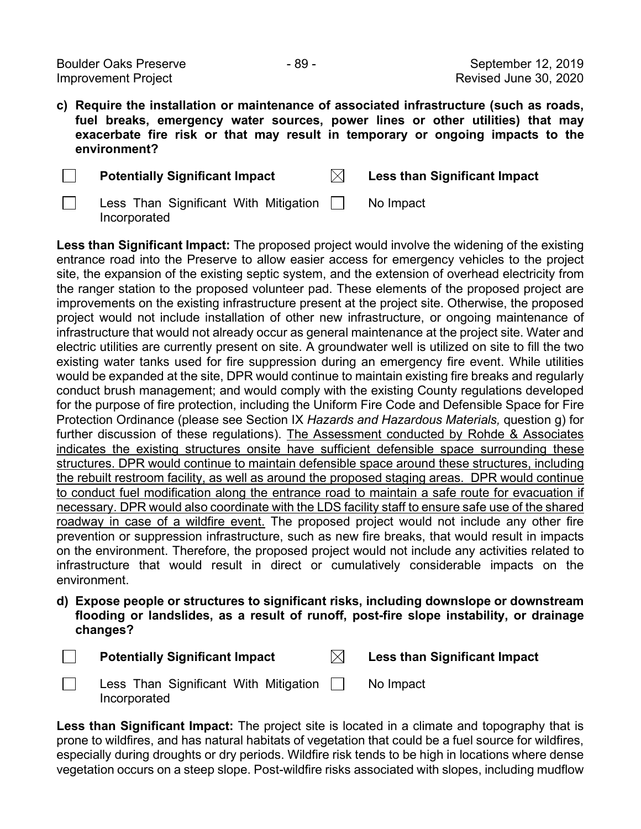Boulder Oaks Preserve **- 89 - September 12, 2019** Improvement Project Revised June 30, 2020

Incorporated

□

**c) Require the installation or maintenance of associated infrastructure (such as roads, fuel breaks, emergency water sources, power lines or other utilities) that may exacerbate fire risk or that may result in temporary or ongoing impacts to the environment?**

| <b>Potentially Significant Impact</b>                            | <b>Less than Significant Impact</b> |
|------------------------------------------------------------------|-------------------------------------|
| Less Than Significant With Mitigation    <br><u>Inaaxnaratad</u> | No Impact                           |

**Less than Significant Impact:** The proposed project would involve the widening of the existing entrance road into the Preserve to allow easier access for emergency vehicles to the project site, the expansion of the existing septic system, and the extension of overhead electricity from the ranger station to the proposed volunteer pad. These elements of the proposed project are improvements on the existing infrastructure present at the project site. Otherwise, the proposed project would not include installation of other new infrastructure, or ongoing maintenance of infrastructure that would not already occur as general maintenance at the project site. Water and electric utilities are currently present on site. A groundwater well is utilized on site to fill the two existing water tanks used for fire suppression during an emergency fire event. While utilities would be expanded at the site, DPR would continue to maintain existing fire breaks and regularly conduct brush management; and would comply with the existing County regulations developed for the purpose of fire protection, including the Uniform Fire Code and Defensible Space for Fire Protection Ordinance (please see Section IX *Hazards and Hazardous Materials,* question g) for further discussion of these regulations). The Assessment conducted by Rohde & Associates indicates the existing structures onsite have sufficient defensible space surrounding these structures. DPR would continue to maintain defensible space around these structures, including the rebuilt restroom facility, as well as around the proposed staging areas. DPR would continue to conduct fuel modification along the entrance road to maintain a safe route for evacuation if necessary. DPR would also coordinate with the LDS facility staff to ensure safe use of the shared roadway in case of a wildfire event. The proposed project would not include any other fire prevention or suppression infrastructure, such as new fire breaks, that would result in impacts on the environment. Therefore, the proposed project would not include any activities related to infrastructure that would result in direct or cumulatively considerable impacts on the environment.

**d) Expose people or structures to significant risks, including downslope or downstream flooding or landslides, as a result of runoff, post-fire slope instability, or drainage changes?**



Less Than Significant With Mitigation Incorporated No Impact

**Less than Significant Impact:** The project site is located in a climate and topography that is prone to wildfires, and has natural habitats of vegetation that could be a fuel source for wildfires, especially during droughts or dry periods. Wildfire risk tends to be high in locations where dense vegetation occurs on a steep slope. Post-wildfire risks associated with slopes, including mudflow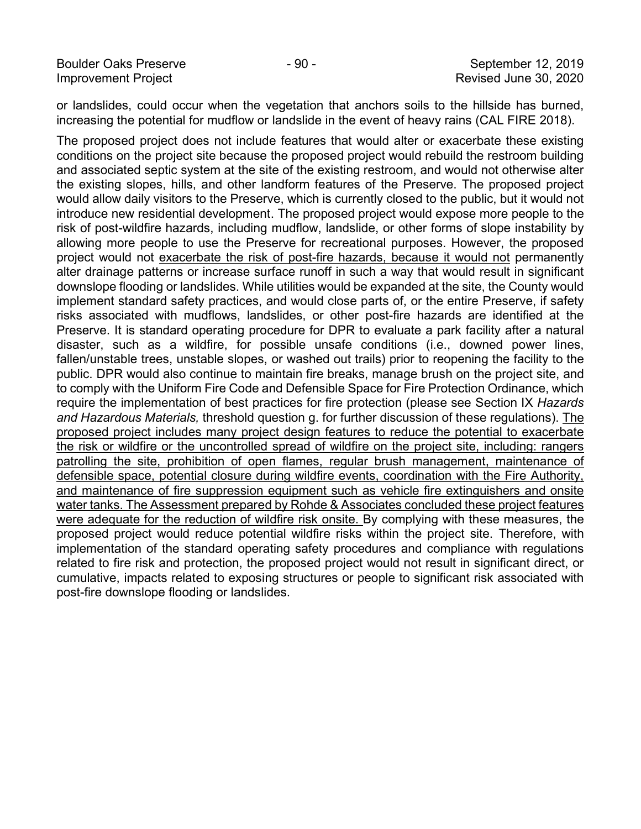Improvement Project Revised June 30, 2020

or landslides, could occur when the vegetation that anchors soils to the hillside has burned, increasing the potential for mudflow or landslide in the event of heavy rains (CAL FIRE 2018).

The proposed project does not include features that would alter or exacerbate these existing conditions on the project site because the proposed project would rebuild the restroom building and associated septic system at the site of the existing restroom, and would not otherwise alter the existing slopes, hills, and other landform features of the Preserve. The proposed project would allow daily visitors to the Preserve, which is currently closed to the public, but it would not introduce new residential development. The proposed project would expose more people to the risk of post-wildfire hazards, including mudflow, landslide, or other forms of slope instability by allowing more people to use the Preserve for recreational purposes. However, the proposed project would not exacerbate the risk of post-fire hazards, because it would not permanently alter drainage patterns or increase surface runoff in such a way that would result in significant downslope flooding or landslides. While utilities would be expanded at the site, the County would implement standard safety practices, and would close parts of, or the entire Preserve, if safety risks associated with mudflows, landslides, or other post-fire hazards are identified at the Preserve. It is standard operating procedure for DPR to evaluate a park facility after a natural disaster, such as a wildfire, for possible unsafe conditions (i.e., downed power lines, fallen/unstable trees, unstable slopes, or washed out trails) prior to reopening the facility to the public. DPR would also continue to maintain fire breaks, manage brush on the project site, and to comply with the Uniform Fire Code and Defensible Space for Fire Protection Ordinance, which require the implementation of best practices for fire protection (please see Section IX *Hazards and Hazardous Materials,* threshold question g. for further discussion of these regulations). The proposed project includes many project design features to reduce the potential to exacerbate the risk or wildfire or the uncontrolled spread of wildfire on the project site, including: rangers patrolling the site, prohibition of open flames, regular brush management, maintenance of defensible space, potential closure during wildfire events, coordination with the Fire Authority, and maintenance of fire suppression equipment such as vehicle fire extinguishers and onsite water tanks. The Assessment prepared by Rohde & Associates concluded these project features were adequate for the reduction of wildfire risk onsite. By complying with these measures, the proposed project would reduce potential wildfire risks within the project site. Therefore, with implementation of the standard operating safety procedures and compliance with regulations related to fire risk and protection, the proposed project would not result in significant direct, or cumulative, impacts related to exposing structures or people to significant risk associated with post-fire downslope flooding or landslides.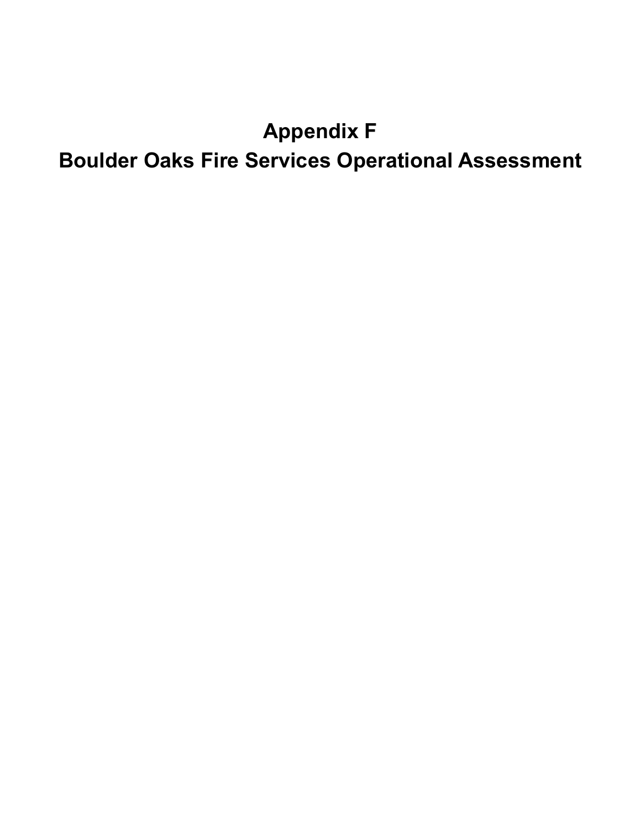## **Appendix F Boulder Oaks Fire Services Operational Assessment**